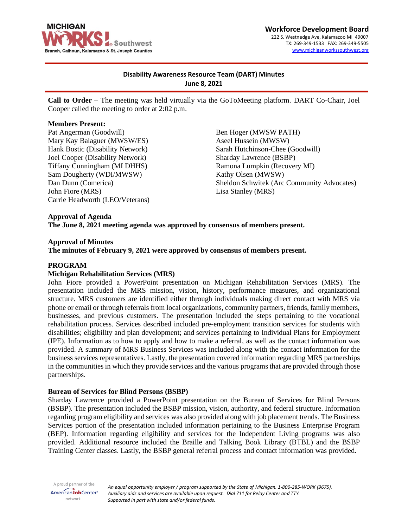

#### **Workforce Development Board** 222 S. Westnedge Ave, Kalamazoo MI 49007 TX: 269-349-1533 FAX: 269-349-5505 [www.michiganworkssouthwest.org](http://www.michiganworkssouthwest.org/)

# **Disability Awareness Resource Team (DART) Minutes June 8, 2021**

**Call to Order –** The meeting was held virtually via the GoToMeeting platform. DART Co-Chair, Joel Cooper called the meeting to order at 2:02 p.m.

#### **Members Present:**

Pat Angerman (Goodwill) Mary Kay Balaguer (MWSW/ES) Hank Bostic (Disability Network) Joel Cooper (Disability Network) Tiffany Cunningham (MI DHHS) Sam Dougherty (WDI/MWSW) Dan Dunn (Comerica) John Fiore (MRS) Carrie Headworth (LEO/Veterans)

Ben Hoger (MWSW PATH) Aseel Hussein (MWSW) Sarah Hutchinson-Chee (Goodwill) Sharday Lawrence (BSBP) Ramona Lumpkin (Recovery MI) Kathy Olsen (MWSW) Sheldon Schwitek (Arc Community Advocates) Lisa Stanley (MRS)

## **Approval of Agenda**

**The June 8, 2021 meeting agenda was approved by consensus of members present.**

### **Approval of Minutes**

**The minutes of February 9, 2021 were approved by consensus of members present.**

### **PROGRAM**

#### **Michigan Rehabilitation Services (MRS)**

John Fiore provided a PowerPoint presentation on Michigan Rehabilitation Services (MRS). The presentation included the MRS mission, vision, history, performance measures, and organizational structure. MRS customers are identified either through individuals making direct contact with MRS via phone or email or through referrals from local organizations, community partners, friends, family members, businesses, and previous customers. The presentation included the steps pertaining to the vocational rehabilitation process. Services described included pre-employment transition services for students with disabilities; eligibility and plan development; and services pertaining to Individual Plans for Employment (IPE). Information as to how to apply and how to make a referral, as well as the contact information was provided. A summary of MRS Business Services was included along with the contact information for the business services representatives. Lastly, the presentation covered information regarding MRS partnerships in the communities in which they provide services and the various programs that are provided through those partnerships.

#### **Bureau of Services for Blind Persons (BSBP)**

Sharday Lawrence provided a PowerPoint presentation on the Bureau of Services for Blind Persons (BSBP). The presentation included the BSBP mission, vision, authority, and federal structure. Information regarding program eligibility and services was also provided along with job placement trends. The Business Services portion of the presentation included information pertaining to the Business Enterprise Program (BEP). Information regarding eligibility and services for the Independent Living programs was also provided. Additional resource included the Braille and Talking Book Library (BTBL) and the BSBP Training Center classes. Lastly, the BSBP general referral process and contact information was provided.

A proud partner of the AmericanJobCenter<sup>®</sup> network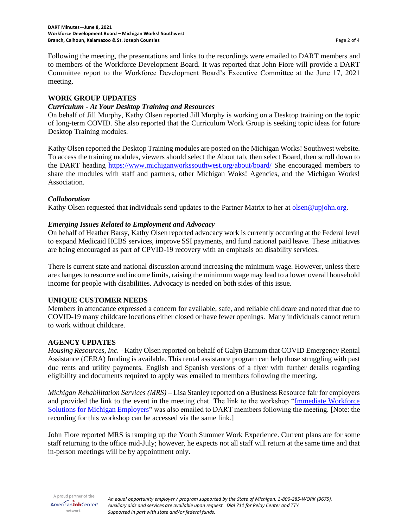Following the meeting, the presentations and links to the recordings were emailed to DART members and to members of the Workforce Development Board. It was reported that John Fiore will provide a DART Committee report to the Workforce Development Board's Executive Committee at the June 17, 2021 meeting.

### **WORK GROUP UPDATES**

### *Curriculum - At Your Desktop Training and Resources*

On behalf of Jill Murphy, Kathy Olsen reported Jill Murphy is working on a Desktop training on the topic of long-term COVID. She also reported that the Curriculum Work Group is seeking topic ideas for future Desktop Training modules.

Kathy Olsen reported the Desktop Training modules are posted on the Michigan Works! Southwest website. To access the training modules, viewers should select the About tab, then select Board, then scroll down to the DART heading<https://www.michiganworkssouthwest.org/about/board/> She encouraged members to share the modules with staff and partners, other Michigan Woks! Agencies, and the Michigan Works! Association.

#### *Collaboration*

Kathy Olsen requested that individuals send updates to the Partner Matrix to her at [olsen@upjohn.org.](mailto:olsen@upjohn.org)

### *Emerging Issues Related to Employment and Advocacy*

On behalf of Heather Barsy, Kathy Olsen reported advocacy work is currently occurring at the Federal level to expand Medicaid HCBS services, improve SSI payments, and fund national paid leave. These initiatives are being encouraged as part of CPVID-19 recovery with an emphasis on disability services.

There is current state and national discussion around increasing the minimum wage. However, unless there are changes to resource and income limits, raising the minimum wage may lead to a lower overall household income for people with disabilities. Advocacy is needed on both sides of this issue.

## **UNIQUE CUSTOMER NEEDS**

Members in attendance expressed a concern for available, safe, and reliable childcare and noted that due to COVID-19 many childcare locations either closed or have fewer openings. Many individuals cannot return to work without childcare.

## **AGENCY UPDATES**

*Housing Resources, Inc. -* Kathy Olsen reported on behalf of Galyn Barnum that COVID Emergency Rental Assistance (CERA) funding is available. This rental assistance program can help those struggling with past due rents and utility payments. English and Spanish versions of a flyer with further details regarding eligibility and documents required to apply was emailed to members following the meeting.

*Michigan Rehabilitation Services (MRS)* – Lisa Stanley reported on a Business Resource fair for employers and provided the link to the event in the meeting chat. The link to the workshop "Immediate Workforce [Solutions for Michigan Employers"](https://www.michigan.gov/leo/0,5863,7-336-94422_95539_105723---,00.html) was also emailed to DART members following the meeting. [Note: the recording for this workshop can be accessed via the same link.]

John Fiore reported MRS is ramping up the Youth Summer Work Experience. Current plans are for some staff returning to the office mid-July; however, he expects not all staff will return at the same time and that in-person meetings will be by appointment only.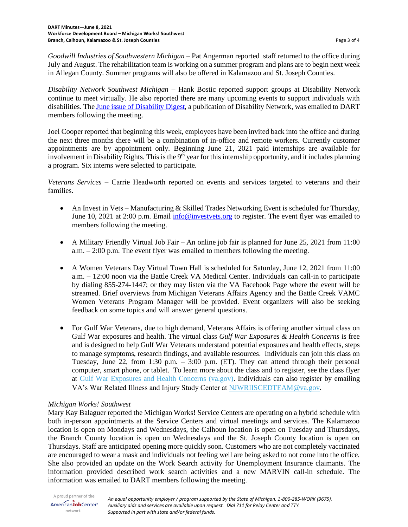*Goodwill Industries of Southwestern Michigan* – Pat Angerman reported staff returned to the office during July and August. The rehabilitation team is working on a summer program and plans are to begin next week in Allegan County. Summer programs will also be offered in Kalamazoo and St. Joseph Counties.

*Disability Network Southwest Michigan* – Hank Bostic reported support groups at Disability Network continue to meet virtually. He also reported there are many upcoming events to support individuals with disabilities. Th[e June issue of Disability Digest,](https://conta.cc/3wa5N9Y) a publication of Disability Network, was emailed to DART members following the meeting.

Joel Cooper reported that beginning this week, employees have been invited back into the office and during the next three months there will be a combination of in-office and remote workers. Currently customer appointments are by appointment only. Beginning June 21, 2021 paid internships are available for involvement in Disability Rights. This is the  $9<sup>th</sup>$  year for this internship opportunity, and it includes planning a program. Six interns were selected to participate.

*Veterans Services* – Carrie Headworth reported on events and services targeted to veterans and their families.

- An Invest in Vets Manufacturing & Skilled Trades Networking Event is scheduled for Thursday, June 10, 2021 at 2:00 p.m. Email [info@investvets.org](mailto:info@investvets.org) to register. The event flyer was emailed to members following the meeting.
- A Military Friendly Virtual Job Fair An online job fair is planned for June 25, 2021 from  $11:00$ a.m. – 2:00 p.m. The event flyer was emailed to members following the meeting.
- A Women Veterans Day Virtual Town Hall is scheduled for Saturday, June 12, 2021 from 11:00 a.m. – 12:00 noon via the Battle Creek VA Medical Center. Individuals can call-in to participate by dialing 855-274-1447; or they may listen via the VA Facebook Page where the event will be streamed. Brief overviews from Michigan Veterans Affairs Agency and the Battle Creek VAMC Women Veterans Program Manager will be provided. Event organizers will also be seeking feedback on some topics and will answer general questions.
- For Gulf War Veterans, due to high demand, Veterans Affairs is offering another virtual class on Gulf War exposures and health. The virtual class *Gulf War Exposures & Health Concerns* is free and is designed to help Gulf War Veterans understand potential exposures and health effects, steps to manage symptoms, research findings, and available resources. Individuals can join this class on Tuesday, June 22, from 1:30 p.m. – 3:00 p.m. (ET). They can attend through their personal computer, smart phone, or tablet. To learn more about the class and to register, see the class flyer at [Gulf War Exposures and Health Concerns \(va.gov\).](https://gcc02.safelinks.protection.outlook.com/?url=https%3A%2F%2Flnks.gd%2Fl%2FeyJhbGciOiJIUzI1NiJ9.eyJidWxsZXRpbl9saW5rX2lkIjoxMDAsInVyaSI6ImJwMjpjbGljayIsImJ1bGxldGluX2lkIjoiMjAyMTA2MDguNDE2Mzg3MDEiLCJ1cmwiOiJodHRwczovL2djYzAyLnNhZmVsaW5rcy5wcm90ZWN0aW9uLm91dGxvb2suY29tLz91cmw9aHR0cHMlM0ElMkYlMkZ3d3cud2FycmVsYXRlZGlsbG5lc3MudmEuZ292JTJGV0FSUkVMQVRFRElMTE5FU1MlMkZlZHVjYXRpb24lMkZsb2NhbC1vZmZlcmluZ3MlMkZzdXBwb3J0JTJGZ3VsZndhcmlsbG5lc3NmbHllclYyLnBkZiZkYXRhPTA0JTdDMDElN0MlN0MyZWZiOTQyYjgyMWY0Njg3NmRjMDA4ZDkyMTE4NDg0OSU3Q2U5NWYxYjIzYWJhZjQ1ZWU4MjFkYjdhYjI1MWFiM2JmJTdDMCU3QzAlN0M2Mzc1NzcyMTA0Mjk4MTQ3ODAlN0NVbmtub3duJTdDVFdGcGJHWnNiM2Q4ZXlKV0lqb2lNQzR3TGpBd01EQWlMQ0pRSWpvaVYybHVNeklpTENKQlRpSTZJazFoYVd3aUxDSlhWQ0k2TW4wJTNEJTdDMTAwMCZzZGF0YT12c2NVTFVlUXpiQSUyRjA3V1NQeDRaUUVHS3Yzd0lZZ1h1VlZaeXQxUmt5TTAlM0QmcmVzZXJ2ZWQ9MCJ9.JVi-X8VWH469gCVgqgj_q-DsBS_Kk5dsMFT_9EFEOeg%2Fs%2F1077673340%2Fbr%2F107598400421-l&data=04%7C01%7Cheadworthc%40michigan.gov%7Cbecd8611905e4e7550ef08d92a97670f%7Cd5fb7087377742ad966a892ef47225d1%7C0%7C0%7C637587652231922235%7CUnknown%7CTWFpbGZsb3d8eyJWIjoiMC4wLjAwMDAiLCJQIjoiV2luMzIiLCJBTiI6Ik1haWwiLCJXVCI6Mn0%3D%7C1000&sdata=A9KQvuIPl03CoZb72EVw6062XxCfXWCShbbXgwtvoAo%3D&reserved=0) Individuals can also register by emailing VA's War Related Illness and Injury Study Center at [NJWRIISCEDTEAM@va.gov.](mailto:NJWRIISCEDTEAM@va.gov)

## *Michigan Works! Southwest*

Mary Kay Balaguer reported the Michigan Works! Service Centers are operating on a hybrid schedule with both in-person appointments at the Service Centers and virtual meetings and services. The Kalamazoo location is open on Mondays and Wednesdays, the Calhoun location is open on Tuesday and Thursdays, the Branch County location is open on Wednesdays and the St. Joseph County location is open on Thursdays. Staff are anticipated opening more quickly soon. Customers who are not completely vaccinated are encouraged to wear a mask and individuals not feeling well are being asked to not come into the office. She also provided an update on the Work Search activity for Unemployment Insurance claimants. The information provided described work search activities and a new MARVIN call-in schedule. The information was emailed to DART members following the meeting.